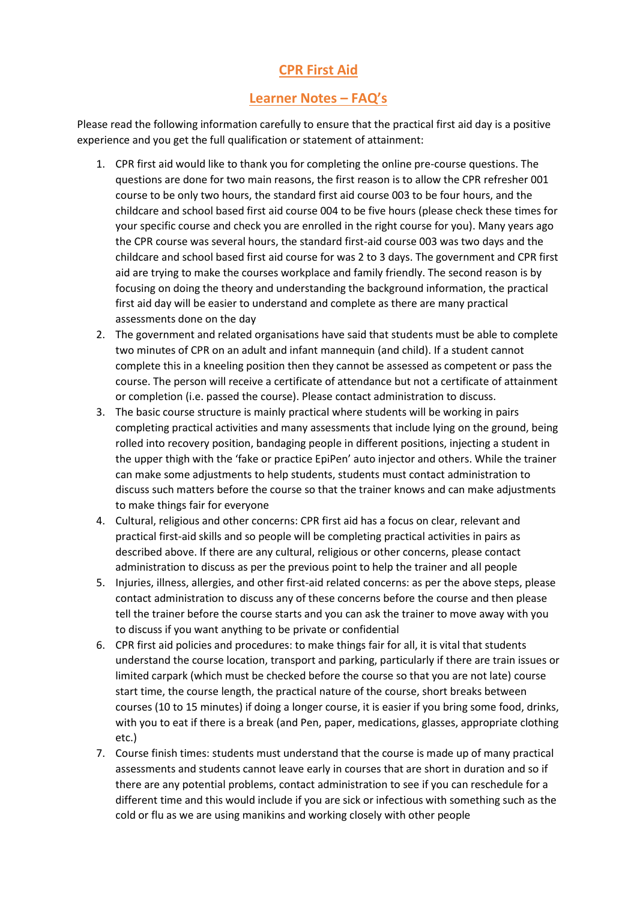## **CPR First Aid**

## **Learner Notes – FAQ's**

Please read the following information carefully to ensure that the practical first aid day is a positive experience and you get the full qualification or statement of attainment:

- 1. CPR first aid would like to thank you for completing the online pre-course questions. The questions are done for two main reasons, the first reason is to allow the CPR refresher 001 course to be only two hours, the standard first aid course 003 to be four hours, and the childcare and school based first aid course 004 to be five hours (please check these times for your specific course and check you are enrolled in the right course for you). Many years ago the CPR course was several hours, the standard first-aid course 003 was two days and the childcare and school based first aid course for was 2 to 3 days. The government and CPR first aid are trying to make the courses workplace and family friendly. The second reason is by focusing on doing the theory and understanding the background information, the practical first aid day will be easier to understand and complete as there are many practical assessments done on the day
- 2. The government and related organisations have said that students must be able to complete two minutes of CPR on an adult and infant mannequin (and child). If a student cannot complete this in a kneeling position then they cannot be assessed as competent or pass the course. The person will receive a certificate of attendance but not a certificate of attainment or completion (i.e. passed the course). Please contact administration to discuss.
- 3. The basic course structure is mainly practical where students will be working in pairs completing practical activities and many assessments that include lying on the ground, being rolled into recovery position, bandaging people in different positions, injecting a student in the upper thigh with the 'fake or practice EpiPen' auto injector and others. While the trainer can make some adjustments to help students, students must contact administration to discuss such matters before the course so that the trainer knows and can make adjustments to make things fair for everyone
- 4. Cultural, religious and other concerns: CPR first aid has a focus on clear, relevant and practical first-aid skills and so people will be completing practical activities in pairs as described above. If there are any cultural, religious or other concerns, please contact administration to discuss as per the previous point to help the trainer and all people
- 5. Injuries, illness, allergies, and other first-aid related concerns: as per the above steps, please contact administration to discuss any of these concerns before the course and then please tell the trainer before the course starts and you can ask the trainer to move away with you to discuss if you want anything to be private or confidential
- 6. CPR first aid policies and procedures: to make things fair for all, it is vital that students understand the course location, transport and parking, particularly if there are train issues or limited carpark (which must be checked before the course so that you are not late) course start time, the course length, the practical nature of the course, short breaks between courses (10 to 15 minutes) if doing a longer course, it is easier if you bring some food, drinks, with you to eat if there is a break (and Pen, paper, medications, glasses, appropriate clothing etc.)
- 7. Course finish times: students must understand that the course is made up of many practical assessments and students cannot leave early in courses that are short in duration and so if there are any potential problems, contact administration to see if you can reschedule for a different time and this would include if you are sick or infectious with something such as the cold or flu as we are using manikins and working closely with other people